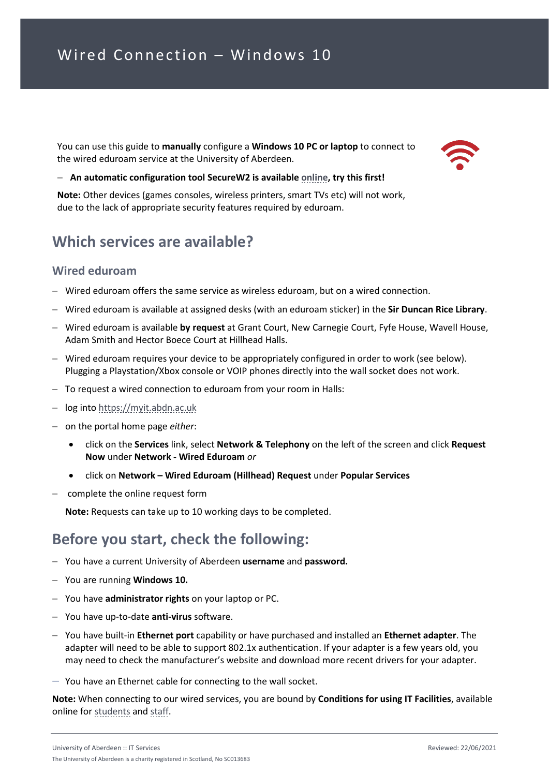You can use this guide to **manually** configure a **Windows 10 PC or laptop** to connect to the wired eduroam service at the University of Aberdeen.



#### − **An automatic configuration tool SecureW2 is available [online,](https://www.abdn.ac.uk/wireless) try this first!**

**Note:** Other devices (games consoles, wireless printers, smart TVs etc) will not work, due to the lack of appropriate security features required by eduroam.

#### **Which services are available?**

#### **Wired eduroam**

- − Wired eduroam offers the same service as wireless eduroam, but on a wired connection.
- − Wired eduroam is available at assigned desks (with an eduroam sticker) in the **Sir Duncan Rice Library**.
- − Wired eduroam is available **by request** at Grant Court, New Carnegie Court, Fyfe House, Wavell House, Adam Smith and Hector Boece Court at Hillhead Halls.
- − Wired eduroam requires your device to be appropriately configured in order to work (see below). Plugging a Playstation/Xbox console or VOIP phones directly into the wall socket does not work.
- − To request a wired connection to eduroam from your room in Halls:
- − log into [https://myit.abdn.ac.uk](https://myit.abdn.ac.uk/)
- − on the portal home page *either*:
	- click on the **Services** link, select **Network & Telephony** on the left of the screen and click **Request Now** under **Network - Wired Eduroam** *or*
	- click on **Network Wired Eduroam (Hillhead) Request** under **Popular Services**
- − complete the online request form

**Note:** Requests can take up to 10 working days to be completed.

#### **Before you start, check the following:**

- − You have a current University of Aberdeen **username** and **password.**
- − You are running **Windows 10.**
- − You have **administrator rights** on your laptop or PC.
- − You have up-to-date **anti-virus** software.
- − You have built-in **Ethernet port** capability or have purchased and installed an **Ethernet adapter**. The adapter will need to be able to support 802.1x authentication. If your adapter is a few years old, you may need to check the manufacturer's website and download more recent drivers for your adapter.
- − You have an Ethernet cable for connecting to the wall socket.

**Note:** When connecting to our wired services, you are bound by **Conditions for using IT Facilities**, available online fo[r students](https://www.abdn.ac.uk/it/student/get-started/policies.php) and [staff.](https://www.abdn.ac.uk/staffnet/governance/policies-and-procedures-134.php)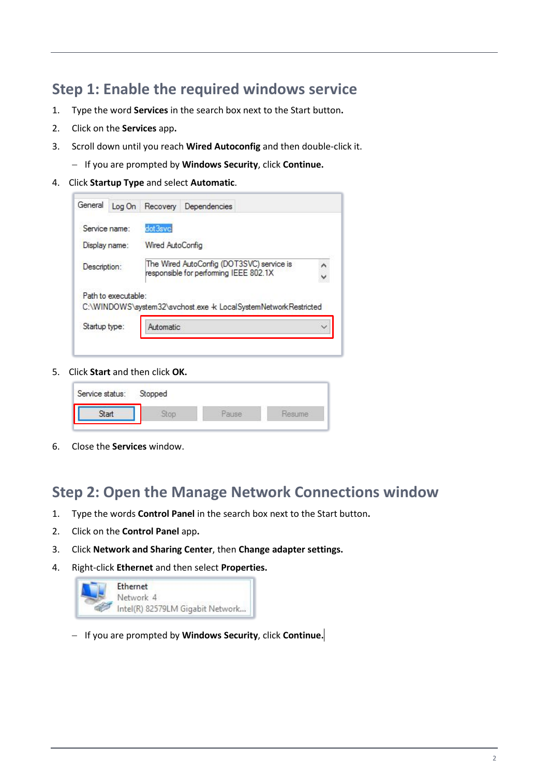### **Step 1: Enable the required windows service**

- 1. Type the word **Services** in the search box next to the Start button**.**
- 2. Click on the **Services** app**.**
- 3. Scroll down until you reach **Wired Autoconfig** and then double-click it.
	- − If you are prompted by **Windows Security**, click **Continue.**
- 4. Click **Startup Type** and select **Automatic**.

| General       | Log On              |                                                                                     | Recovery Dependencies                                          |  |  |
|---------------|---------------------|-------------------------------------------------------------------------------------|----------------------------------------------------------------|--|--|
| Service name: |                     | dot3svc                                                                             |                                                                |  |  |
| Display name: |                     | Wired AutoConfig                                                                    |                                                                |  |  |
| Description:  |                     | The Wired AutoConfig (DOT3SVC) service is<br>responsible for performing IEEE 802.1X |                                                                |  |  |
|               | Path to executable: |                                                                                     | C:\WINDOWS\system32\svchost.exe + LocalSystemNetworkRestricted |  |  |
|               | Startup type:       | Automatic                                                                           |                                                                |  |  |

5. Click **Start** and then click **OK.**

| Service status: | Stopped |  |
|-----------------|---------|--|
|                 |         |  |

6. Close the **Services** window.

#### **Step 2: Open the Manage Network Connections window**

- 1. Type the words **Control Panel** in the search box next to the Start button**.**
- 2. Click on the **Control Panel** app**.**
- 3. Click **Network and Sharing Center**, then **Change adapter settings.**
- 4. Right-click **Ethernet** and then select **Properties.**

| Ethernet                         |
|----------------------------------|
| Network 4                        |
| Intel(R) 82579LM Gigabit Network |

− If you are prompted by **Windows Security**, click **Continue.**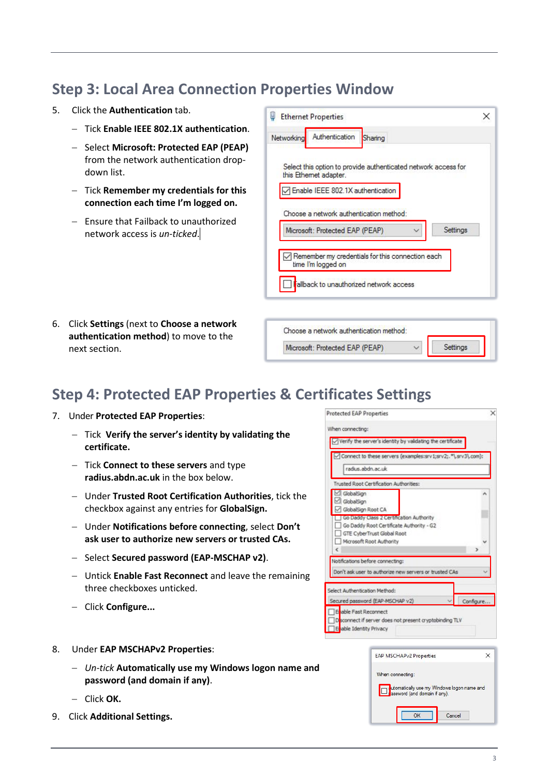## **Step 3: Local Area Connection Properties Window**

- 5. Click the **Authentication** tab.
	- − Tick **Enable IEEE 802.1X authentication**.
	- − Select **Microsoft: Protected EAP (PEAP)** from the network authentication dropdown list.
	- − Tick **Remember my credentials for this connection each time I'm logged on.**
	- − Ensure that Failback to unauthorized network access is *un-ticked*.
- **Ethernet Properties** × Networking Authentication Sharing Select this option to provide authenticated network access for this Ethemet adapter. Enable IEEE 802.1X authentication Choose a network authentication method: Microsoft: Protected EAP (PEAP) Settings Remember my credentials for this connection each time I'm logged on Fallback to unauthorized network access Choose a network authentication method:

Microsoft: Protected EAP (PEAP)

6. Click **Settings** (next to **Choose a network authentication method**) to move to the next section.

## **Step 4: Protected EAP Properties & Certificates Settings**

- 7. Under **Protected EAP Properties**:
	- − Tick **Verify the server's identity by validating the certificate.**
	- − Tick **Connect to these servers** and type **radius.abdn.ac.uk** in the box below.
	- − Under **Trusted Root Certification Authorities**, tick the checkbox against any entries for **GlobalSign.**
	- − Under **Notifications before connecting**, select **Don't ask user to authorize new servers or trusted CAs.**
	- − Select **Secured password (EAP-MSCHAP v2)**.
	- − Untick **Enable Fast Reconnect** and leave the remaining three checkboxes unticked.
	- − Click **Configure...**
- 8. Under **EAP MSCHAPv2 Properties**:
	- − *Un-tick* **Automatically use my Windows logon name and password (and domain if any)**.
	- − Click **OK.**
- 9. Click **Additional Settings.**



Settings

| When connecting:<br>utomatically use my Windows logon name and<br><b>D</b> <sub>g</sub> assword (and domain if any). | <b>EAP MSCHAPv2 Properties</b> |  |
|----------------------------------------------------------------------------------------------------------------------|--------------------------------|--|
|                                                                                                                      |                                |  |
|                                                                                                                      |                                |  |
|                                                                                                                      |                                |  |